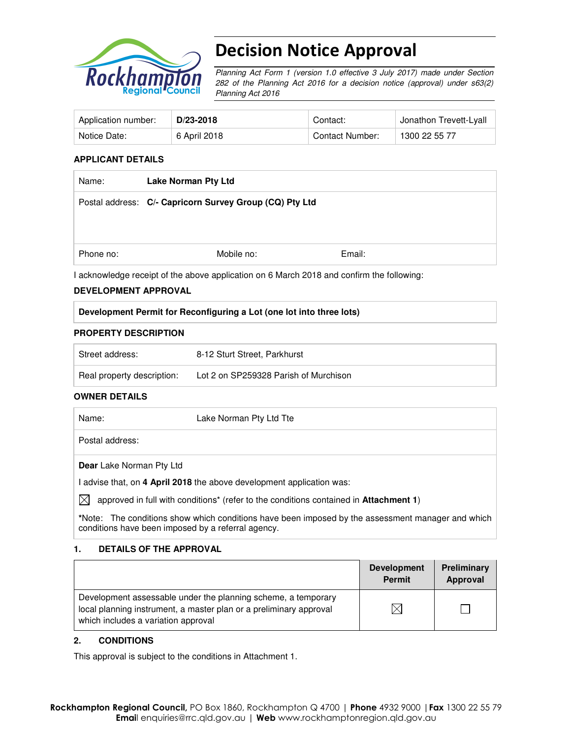

# Decision Notice Approval

Planning Act Form 1 (version 1.0 effective 3 July 2017) made under Section 282 of the Planning Act 2016 for a decision notice (approval) under s63(2) Planning Act 2016

| Application number: | D/23-2018    | Contact:        | Jonathon Trevett-Lyall |
|---------------------|--------------|-----------------|------------------------|
| Notice Date:        | 6 April 2018 | Contact Number: | 1300 22 55 77          |

#### **APPLICANT DETAILS**

| <b>Lake Norman Pty Ltd</b>                              |        |
|---------------------------------------------------------|--------|
| Postal address: C/- Capricorn Survey Group (CQ) Pty Ltd |        |
|                                                         |        |
|                                                         |        |
| Mobile no:                                              | Email: |
|                                                         |        |

I acknowledge receipt of the above application on 6 March 2018 and confirm the following:

#### **DEVELOPMENT APPROVAL**

#### **Development Permit for Reconfiguring a Lot (one lot into three lots)**

#### **PROPERTY DESCRIPTION**

| Street address:            | 8-12 Sturt Street, Parkhurst          |
|----------------------------|---------------------------------------|
| Real property description: | Lot 2 on SP259328 Parish of Murchison |

#### **OWNER DETAILS**

| Name: |                          | Lake Norman Pty Ltd Tte                                                                                   |
|-------|--------------------------|-----------------------------------------------------------------------------------------------------------|
|       | Postal address:          |                                                                                                           |
|       | Dear Lake Norman Pty Ltd |                                                                                                           |
|       |                          | advise that, on 4 April 2018 the above development application was:                                       |
| IXI   |                          | approved in full with conditions <sup>*</sup> (refer to the conditions contained in <b>Attachment 1</b> ) |
|       |                          | *Note: The conditions show which conditions have been imposed by the assessment manager and which         |

conditions have been imposed by a referral agency.

#### **1. DETAILS OF THE APPROVAL**

|                                                                                                                                                                            | <b>Development</b><br><b>Permit</b> | Preliminary<br>Approval |
|----------------------------------------------------------------------------------------------------------------------------------------------------------------------------|-------------------------------------|-------------------------|
| Development assessable under the planning scheme, a temporary<br>local planning instrument, a master plan or a preliminary approval<br>which includes a variation approval |                                     |                         |

#### **2. CONDITIONS**

This approval is subject to the conditions in Attachment 1.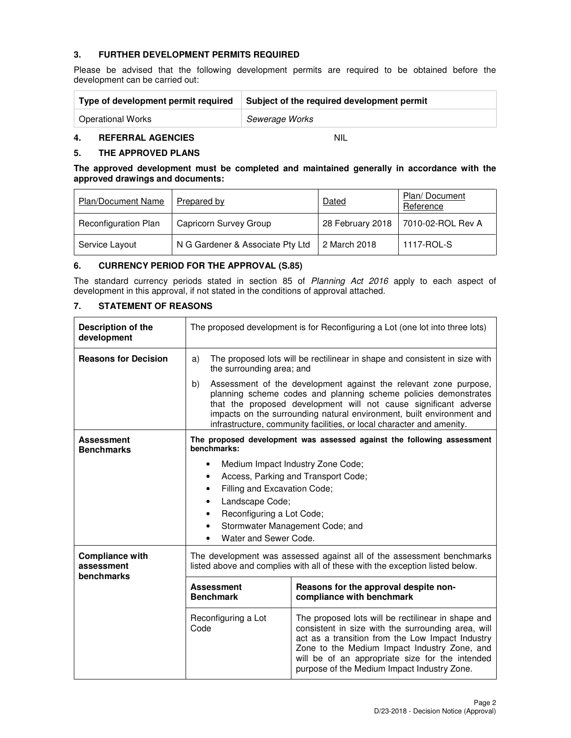## **3. FURTHER DEVELOPMENT PERMITS REQUIRED**

Please be advised that the following development permits are required to be obtained before the development can be carried out:

| Type of development permit required | Subject of the required development permit |  |
|-------------------------------------|--------------------------------------------|--|
| <b>Operational Works</b>            | Sewerage Works                             |  |

## **4. REFERRAL AGENCIES** NIL

#### **5. THE APPROVED PLANS**

**The approved development must be completed and maintained generally in accordance with the approved drawings and documents:** 

| <b>Plan/Document Name</b>   | Prepared by                      | Dated            | Plan/Document<br>Reference |
|-----------------------------|----------------------------------|------------------|----------------------------|
| <b>Reconfiguration Plan</b> | Capricorn Survey Group           | 28 February 2018 | 7010-02-ROL Rev A          |
| Service Layout              | N G Gardener & Associate Pty Ltd | 2 March 2018     | 1117-ROL-S                 |

### **6. CURRENCY PERIOD FOR THE APPROVAL (S.85)**

The standard currency periods stated in section 85 of Planning Act 2016 apply to each aspect of development in this approval, if not stated in the conditions of approval attached.

# **7. STATEMENT OF REASONS**

| Description of the<br>development                  | The proposed development is for Reconfiguring a Lot (one lot into three lots)                                                                                                                                                                                                                                                                                   |                                                                                                                                                                                                                                                                                                                |  |
|----------------------------------------------------|-----------------------------------------------------------------------------------------------------------------------------------------------------------------------------------------------------------------------------------------------------------------------------------------------------------------------------------------------------------------|----------------------------------------------------------------------------------------------------------------------------------------------------------------------------------------------------------------------------------------------------------------------------------------------------------------|--|
| <b>Reasons for Decision</b>                        | a)<br>the surrounding area; and                                                                                                                                                                                                                                                                                                                                 | The proposed lots will be rectilinear in shape and consistent in size with                                                                                                                                                                                                                                     |  |
|                                                    | Assessment of the development against the relevant zone purpose,<br>b)<br>planning scheme codes and planning scheme policies demonstrates<br>that the proposed development will not cause significant adverse<br>impacts on the surrounding natural environment, built environment and<br>infrastructure, community facilities, or local character and amenity. |                                                                                                                                                                                                                                                                                                                |  |
| <b>Assessment</b><br><b>Benchmarks</b>             | The proposed development was assessed against the following assessment<br>benchmarks:                                                                                                                                                                                                                                                                           |                                                                                                                                                                                                                                                                                                                |  |
|                                                    |                                                                                                                                                                                                                                                                                                                                                                 | Medium Impact Industry Zone Code;                                                                                                                                                                                                                                                                              |  |
|                                                    |                                                                                                                                                                                                                                                                                                                                                                 | Access, Parking and Transport Code;                                                                                                                                                                                                                                                                            |  |
|                                                    | Filling and Excavation Code;<br>٠                                                                                                                                                                                                                                                                                                                               |                                                                                                                                                                                                                                                                                                                |  |
|                                                    | Landscape Code;                                                                                                                                                                                                                                                                                                                                                 |                                                                                                                                                                                                                                                                                                                |  |
|                                                    | Reconfiguring a Lot Code;                                                                                                                                                                                                                                                                                                                                       |                                                                                                                                                                                                                                                                                                                |  |
|                                                    | Stormwater Management Code; and                                                                                                                                                                                                                                                                                                                                 |                                                                                                                                                                                                                                                                                                                |  |
|                                                    | Water and Sewer Code.                                                                                                                                                                                                                                                                                                                                           |                                                                                                                                                                                                                                                                                                                |  |
| <b>Compliance with</b><br>assessment<br>benchmarks | The development was assessed against all of the assessment benchmarks<br>listed above and complies with all of these with the exception listed below.                                                                                                                                                                                                           |                                                                                                                                                                                                                                                                                                                |  |
|                                                    | Reasons for the approval despite non-<br><b>Assessment</b><br>compliance with benchmark<br><b>Benchmark</b>                                                                                                                                                                                                                                                     |                                                                                                                                                                                                                                                                                                                |  |
|                                                    | Reconfiguring a Lot<br>Code                                                                                                                                                                                                                                                                                                                                     | The proposed lots will be rectilinear in shape and<br>consistent in size with the surrounding area, will<br>act as a transition from the Low Impact Industry<br>Zone to the Medium Impact Industry Zone, and<br>will be of an appropriate size for the intended<br>purpose of the Medium Impact Industry Zone. |  |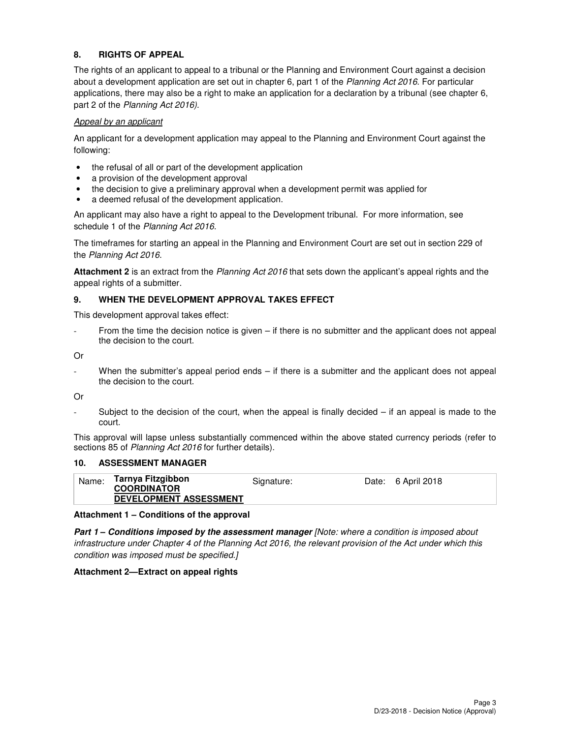# **8. RIGHTS OF APPEAL**

The rights of an applicant to appeal to a tribunal or the Planning and Environment Court against a decision about a development application are set out in chapter 6, part 1 of the Planning Act 2016. For particular applications, there may also be a right to make an application for a declaration by a tribunal (see chapter 6, part 2 of the Planning Act 2016).

#### Appeal by an applicant

An applicant for a development application may appeal to the Planning and Environment Court against the following:

- the refusal of all or part of the development application
- a provision of the development approval
- the decision to give a preliminary approval when a development permit was applied for
- a deemed refusal of the development application.

An applicant may also have a right to appeal to the Development tribunal. For more information, see schedule 1 of the Planning Act 2016.

The timeframes for starting an appeal in the Planning and Environment Court are set out in section 229 of the Planning Act 2016.

**Attachment 2** is an extract from the Planning Act 2016 that sets down the applicant's appeal rights and the appeal rights of a submitter.

#### **9. WHEN THE DEVELOPMENT APPROVAL TAKES EFFECT**

This development approval takes effect:

From the time the decision notice is given – if there is no submitter and the applicant does not appeal the decision to the court.

Or

When the submitter's appeal period ends – if there is a submitter and the applicant does not appeal the decision to the court.

Or

Subject to the decision of the court, when the appeal is finally decided  $-$  if an appeal is made to the court.

This approval will lapse unless substantially commenced within the above stated currency periods (refer to sections 85 of Planning Act 2016 for further details).

#### **10. ASSESSMENT MANAGER**

| Name: | Tarnya Fitzgibbon<br><b>COORDINATOR</b><br><b>DEVELOPMENT ASSESSMENT</b> | Signature: | Date: 6 April 2018 |
|-------|--------------------------------------------------------------------------|------------|--------------------|
|       |                                                                          |            |                    |

#### **Attachment 1 – Conditions of the approval**

**Part 1 – Conditions imposed by the assessment manager** [Note: where a condition is imposed about infrastructure under Chapter 4 of the Planning Act 2016, the relevant provision of the Act under which this condition was imposed must be specified.]

#### **Attachment 2—Extract on appeal rights**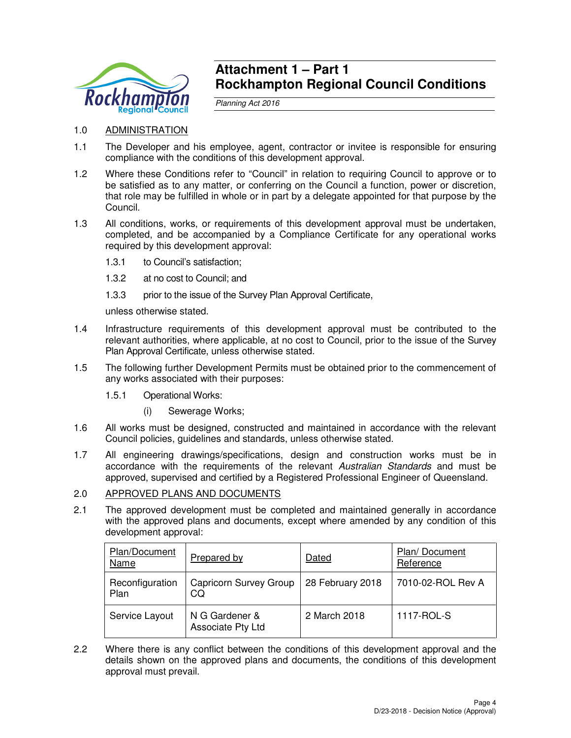

# **Attachment 1 – Part 1 Rockhampton Regional Council Conditions**

Planning Act 2016

- 1.0 ADMINISTRATION
- 1.1 The Developer and his employee, agent, contractor or invitee is responsible for ensuring compliance with the conditions of this development approval.
- 1.2 Where these Conditions refer to "Council" in relation to requiring Council to approve or to be satisfied as to any matter, or conferring on the Council a function, power or discretion, that role may be fulfilled in whole or in part by a delegate appointed for that purpose by the Council.
- 1.3 All conditions, works, or requirements of this development approval must be undertaken, completed, and be accompanied by a Compliance Certificate for any operational works required by this development approval:
	- 1.3.1 to Council's satisfaction;
	- 1.3.2 at no cost to Council; and
	- 1.3.3 prior to the issue of the Survey Plan Approval Certificate,

unless otherwise stated.

- 1.4 Infrastructure requirements of this development approval must be contributed to the relevant authorities, where applicable, at no cost to Council, prior to the issue of the Survey Plan Approval Certificate, unless otherwise stated.
- 1.5 The following further Development Permits must be obtained prior to the commencement of any works associated with their purposes:
	- 1.5.1 Operational Works:
		- (i) Sewerage Works;
- 1.6 All works must be designed, constructed and maintained in accordance with the relevant Council policies, guidelines and standards, unless otherwise stated.
- 1.7 All engineering drawings/specifications, design and construction works must be in accordance with the requirements of the relevant Australian Standards and must be approved, supervised and certified by a Registered Professional Engineer of Queensland.

#### 2.0 APPROVED PLANS AND DOCUMENTS

2.1 The approved development must be completed and maintained generally in accordance with the approved plans and documents, except where amended by any condition of this development approval:

| Plan/Document<br><b>Name</b> | Prepared by                         | Dated            | Plan/Document<br>Reference |
|------------------------------|-------------------------------------|------------------|----------------------------|
| Reconfiguration<br>Plan      | Capricorn Survey Group<br>CQ        | 28 February 2018 | 7010-02-ROL Rev A          |
| Service Layout               | N G Gardener &<br>Associate Pty Ltd | 2 March 2018     | 1117-ROL-S                 |

2.2 Where there is any conflict between the conditions of this development approval and the details shown on the approved plans and documents, the conditions of this development approval must prevail.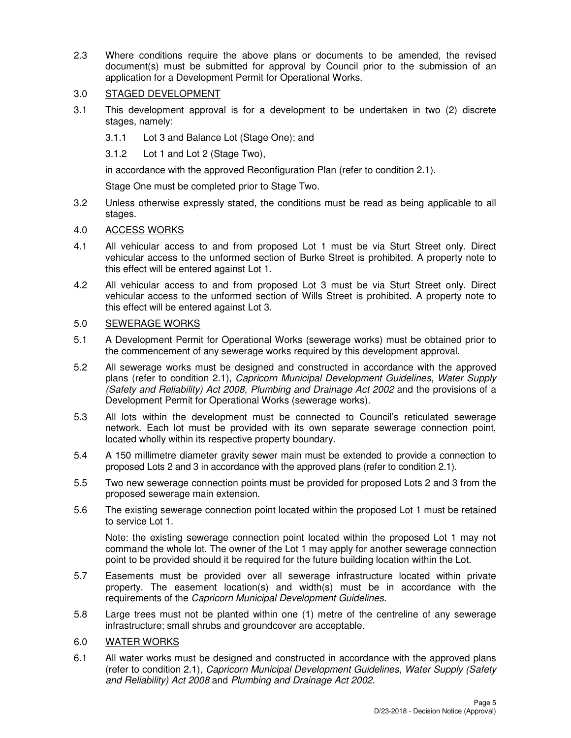2.3 Where conditions require the above plans or documents to be amended, the revised document(s) must be submitted for approval by Council prior to the submission of an application for a Development Permit for Operational Works.

# 3.0 STAGED DEVELOPMENT

- 3.1 This development approval is for a development to be undertaken in two (2) discrete stages, namely:
	- 3.1.1 Lot 3 and Balance Lot (Stage One); and
	- 3.1.2 Lot 1 and Lot 2 (Stage Two),

in accordance with the approved Reconfiguration Plan (refer to condition 2.1).

Stage One must be completed prior to Stage Two.

3.2 Unless otherwise expressly stated, the conditions must be read as being applicable to all stages.

# 4.0 ACCESS WORKS

- 4.1 All vehicular access to and from proposed Lot 1 must be via Sturt Street only. Direct vehicular access to the unformed section of Burke Street is prohibited. A property note to this effect will be entered against Lot 1.
- 4.2 All vehicular access to and from proposed Lot 3 must be via Sturt Street only. Direct vehicular access to the unformed section of Wills Street is prohibited. A property note to this effect will be entered against Lot 3.

# 5.0 SEWERAGE WORKS

- 5.1 A Development Permit for Operational Works (sewerage works) must be obtained prior to the commencement of any sewerage works required by this development approval.
- 5.2 All sewerage works must be designed and constructed in accordance with the approved plans (refer to condition 2.1), Capricorn Municipal Development Guidelines, Water Supply (Safety and Reliability) Act 2008, Plumbing and Drainage Act 2002 and the provisions of a Development Permit for Operational Works (sewerage works).
- 5.3 All lots within the development must be connected to Council's reticulated sewerage network. Each lot must be provided with its own separate sewerage connection point, located wholly within its respective property boundary.
- 5.4 A 150 millimetre diameter gravity sewer main must be extended to provide a connection to proposed Lots 2 and 3 in accordance with the approved plans (refer to condition 2.1).
- 5.5 Two new sewerage connection points must be provided for proposed Lots 2 and 3 from the proposed sewerage main extension.
- 5.6 The existing sewerage connection point located within the proposed Lot 1 must be retained to service Lot 1.

Note: the existing sewerage connection point located within the proposed Lot 1 may not command the whole lot. The owner of the Lot 1 may apply for another sewerage connection point to be provided should it be required for the future building location within the Lot.

- 5.7 Easements must be provided over all sewerage infrastructure located within private property. The easement location(s) and width(s) must be in accordance with the requirements of the Capricorn Municipal Development Guidelines.
- 5.8 Large trees must not be planted within one (1) metre of the centreline of any sewerage infrastructure; small shrubs and groundcover are acceptable.

# 6.0 WATER WORKS

6.1 All water works must be designed and constructed in accordance with the approved plans (refer to condition 2.1), Capricorn Municipal Development Guidelines, Water Supply (Safety and Reliability) Act 2008 and Plumbing and Drainage Act 2002.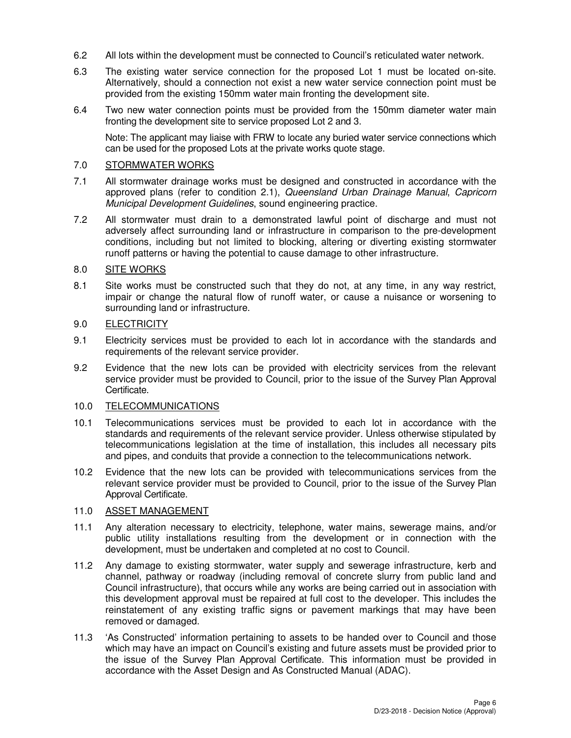- 6.2 All lots within the development must be connected to Council's reticulated water network.
- 6.3 The existing water service connection for the proposed Lot 1 must be located on-site. Alternatively, should a connection not exist a new water service connection point must be provided from the existing 150mm water main fronting the development site.
- 6.4 Two new water connection points must be provided from the 150mm diameter water main fronting the development site to service proposed Lot 2 and 3.

Note: The applicant may liaise with FRW to locate any buried water service connections which can be used for the proposed Lots at the private works quote stage.

## 7.0 STORMWATER WORKS

- 7.1 All stormwater drainage works must be designed and constructed in accordance with the approved plans (refer to condition 2.1), Queensland Urban Drainage Manual, Capricorn Municipal Development Guidelines, sound engineering practice.
- 7.2 All stormwater must drain to a demonstrated lawful point of discharge and must not adversely affect surrounding land or infrastructure in comparison to the pre-development conditions, including but not limited to blocking, altering or diverting existing stormwater runoff patterns or having the potential to cause damage to other infrastructure.

#### 8.0 SITE WORKS

8.1 Site works must be constructed such that they do not, at any time, in any way restrict, impair or change the natural flow of runoff water, or cause a nuisance or worsening to surrounding land or infrastructure.

# 9.0 ELECTRICITY

- 9.1 Electricity services must be provided to each lot in accordance with the standards and requirements of the relevant service provider.
- 9.2 Evidence that the new lots can be provided with electricity services from the relevant service provider must be provided to Council, prior to the issue of the Survey Plan Approval Certificate.

#### 10.0 TELECOMMUNICATIONS

- 10.1 Telecommunications services must be provided to each lot in accordance with the standards and requirements of the relevant service provider. Unless otherwise stipulated by telecommunications legislation at the time of installation, this includes all necessary pits and pipes, and conduits that provide a connection to the telecommunications network.
- 10.2 Evidence that the new lots can be provided with telecommunications services from the relevant service provider must be provided to Council, prior to the issue of the Survey Plan Approval Certificate.

#### 11.0 ASSET MANAGEMENT

- 11.1 Any alteration necessary to electricity, telephone, water mains, sewerage mains, and/or public utility installations resulting from the development or in connection with the development, must be undertaken and completed at no cost to Council.
- 11.2 Any damage to existing stormwater, water supply and sewerage infrastructure, kerb and channel, pathway or roadway (including removal of concrete slurry from public land and Council infrastructure), that occurs while any works are being carried out in association with this development approval must be repaired at full cost to the developer. This includes the reinstatement of any existing traffic signs or pavement markings that may have been removed or damaged.
- 11.3 'As Constructed' information pertaining to assets to be handed over to Council and those which may have an impact on Council's existing and future assets must be provided prior to the issue of the Survey Plan Approval Certificate. This information must be provided in accordance with the Asset Design and As Constructed Manual (ADAC).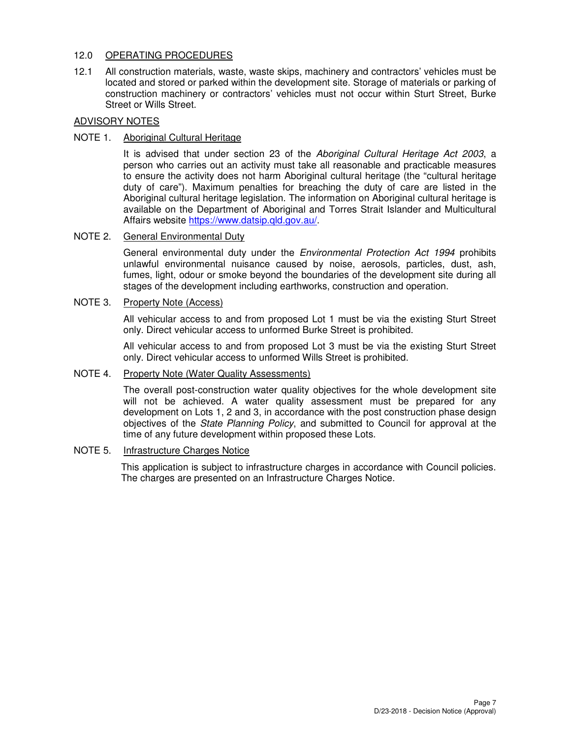# 12.0 OPERATING PROCEDURES

12.1 All construction materials, waste, waste skips, machinery and contractors' vehicles must be located and stored or parked within the development site. Storage of materials or parking of construction machinery or contractors' vehicles must not occur within Sturt Street, Burke Street or Wills Street.

# ADVISORY NOTES

# NOTE 1. Aboriginal Cultural Heritage

It is advised that under section 23 of the Aboriginal Cultural Heritage Act 2003, a person who carries out an activity must take all reasonable and practicable measures to ensure the activity does not harm Aboriginal cultural heritage (the "cultural heritage duty of care"). Maximum penalties for breaching the duty of care are listed in the Aboriginal cultural heritage legislation. The information on Aboriginal cultural heritage is available on the Department of Aboriginal and Torres Strait Islander and Multicultural Affairs website https://www.datsip.qld.gov.au/.

#### NOTE 2. General Environmental Duty

General environmental duty under the Environmental Protection Act 1994 prohibits unlawful environmental nuisance caused by noise, aerosols, particles, dust, ash, fumes, light, odour or smoke beyond the boundaries of the development site during all stages of the development including earthworks, construction and operation.

### NOTE 3. Property Note (Access)

All vehicular access to and from proposed Lot 1 must be via the existing Sturt Street only. Direct vehicular access to unformed Burke Street is prohibited.

All vehicular access to and from proposed Lot 3 must be via the existing Sturt Street only. Direct vehicular access to unformed Wills Street is prohibited.

#### NOTE 4. Property Note (Water Quality Assessments)

The overall post-construction water quality objectives for the whole development site will not be achieved. A water quality assessment must be prepared for any development on Lots 1, 2 and 3, in accordance with the post construction phase design objectives of the *State Planning Policy*, and submitted to Council for approval at the time of any future development within proposed these Lots.

#### NOTE 5. Infrastructure Charges Notice

This application is subject to infrastructure charges in accordance with Council policies. The charges are presented on an Infrastructure Charges Notice.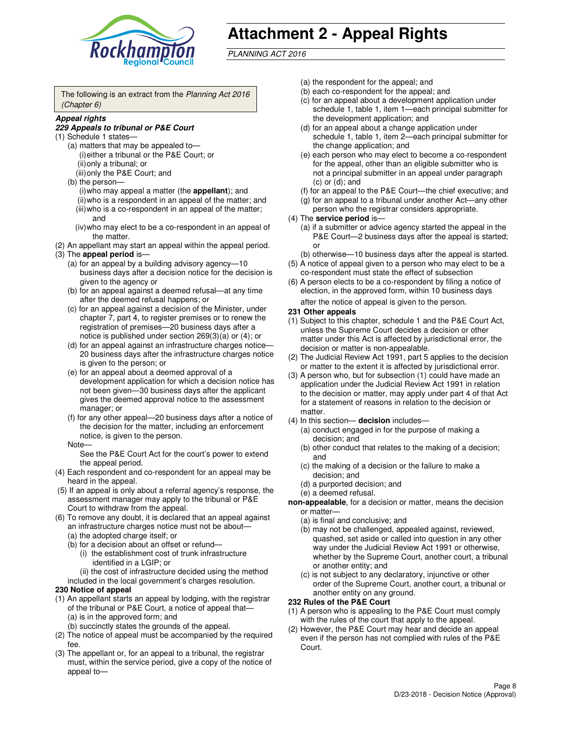

# **Attachment 2 - Appeal Rights**

PLANNING ACT 2016

The following is an extract from the Planning Act 2016 (Chapter 6)

#### **Appeal rights**

#### **229 Appeals to tribunal or P&E Court**

- (1) Schedule 1 states—
	- (a) matters that may be appealed to— (i) either a tribunal or the P&E Court; or (ii) only a tribunal; or (iii) only the P&E Court; and
	- (b) the person—
		- (i) who may appeal a matter (the **appellant**); and
		- (ii) who is a respondent in an appeal of the matter; and (iii) who is a co-respondent in an appeal of the matter; and
		- (iv) who may elect to be a co-respondent in an appeal of the matter.
- (2) An appellant may start an appeal within the appeal period.
- (3) The **appeal period** is—
	- (a) for an appeal by a building advisory agency—10 business days after a decision notice for the decision is given to the agency or
	- (b) for an appeal against a deemed refusal—at any time after the deemed refusal happens; or
	- (c) for an appeal against a decision of the Minister, under chapter 7, part 4, to register premises or to renew the registration of premises—20 business days after a notice is published under section 269(3)(a) or (4); or
	- (d) for an appeal against an infrastructure charges notice— 20 business days after the infrastructure charges notice is given to the person; or
	- (e) for an appeal about a deemed approval of a development application for which a decision notice has not been given—30 business days after the applicant gives the deemed approval notice to the assessment manager; or
	- (f) for any other appeal—20 business days after a notice of the decision for the matter, including an enforcement notice, is given to the person.
	- Note—

See the P&E Court Act for the court's power to extend the appeal period.

- (4) Each respondent and co-respondent for an appeal may be heard in the appeal.
- (5) If an appeal is only about a referral agency's response, the assessment manager may apply to the tribunal or P&E Court to withdraw from the appeal.
- (6) To remove any doubt, it is declared that an appeal against an infrastructure charges notice must not be about—
	- (a) the adopted charge itself; or
	- (b) for a decision about an offset or refund—
		- (i) the establishment cost of trunk infrastructure identified in a LGIP; or
		- (ii) the cost of infrastructure decided using the method
- included in the local government's charges resolution. **230 Notice of appeal**
- (1) An appellant starts an appeal by lodging, with the registrar of the tribunal or P&E Court, a notice of appeal that—
	- (a) is in the approved form; and
	- (b) succinctly states the grounds of the appeal.
- (2) The notice of appeal must be accompanied by the required fee.
- (3) The appellant or, for an appeal to a tribunal, the registrar must, within the service period, give a copy of the notice of appeal to—
- (a) the respondent for the appeal; and
- (b) each co-respondent for the appeal; and
- (c) for an appeal about a development application under schedule 1, table 1, item 1—each principal submitter for the development application; and
- (d) for an appeal about a change application under schedule 1, table 1, item 2—each principal submitter for the change application; and
- (e) each person who may elect to become a co-respondent for the appeal, other than an eligible submitter who is not a principal submitter in an appeal under paragraph  $(c)$  or  $(d)$ ; and
- (f) for an appeal to the P&E Court—the chief executive; and
- (g) for an appeal to a tribunal under another Act—any other person who the registrar considers appropriate.
- (4) The **service period** is—
	- (a) if a submitter or advice agency started the appeal in the P&E Court—2 business days after the appeal is started; or
	- (b) otherwise—10 business days after the appeal is started.
- (5) A notice of appeal given to a person who may elect to be a co-respondent must state the effect of subsection
- (6) A person elects to be a co-respondent by filing a notice of election, in the approved form, within 10 business days after the notice of appeal is given to the person*.*
- **231 Other appeals**
- (1) Subject to this chapter, schedule 1 and the P&E Court Act, unless the Supreme Court decides a decision or other matter under this Act is affected by jurisdictional error, the decision or matter is non-appealable.
- (2) The Judicial Review Act 1991, part 5 applies to the decision or matter to the extent it is affected by jurisdictional error.
- (3) A person who, but for subsection (1) could have made an application under the Judicial Review Act 1991 in relation to the decision or matter, may apply under part 4 of that Act for a statement of reasons in relation to the decision or matter.
- (4) In this section— **decision** includes—
	- (a) conduct engaged in for the purpose of making a decision; and
	- (b) other conduct that relates to the making of a decision; and
	- (c) the making of a decision or the failure to make a decision; and
	- (d) a purported decision; and
	- (e) a deemed refusal.

**non-appealable**, for a decision or matter, means the decision or matter—

- (a) is final and conclusive; and
- (b) may not be challenged, appealed against, reviewed, quashed, set aside or called into question in any other way under the Judicial Review Act 1991 or otherwise, whether by the Supreme Court, another court, a tribunal or another entity; and
- (c) is not subject to any declaratory, injunctive or other order of the Supreme Court, another court, a tribunal or another entity on any ground.

#### **232 Rules of the P&E Court**

- (1) A person who is appealing to the P&E Court must comply with the rules of the court that apply to the appeal.
- (2) However, the P&E Court may hear and decide an appeal even if the person has not complied with rules of the P&E Court.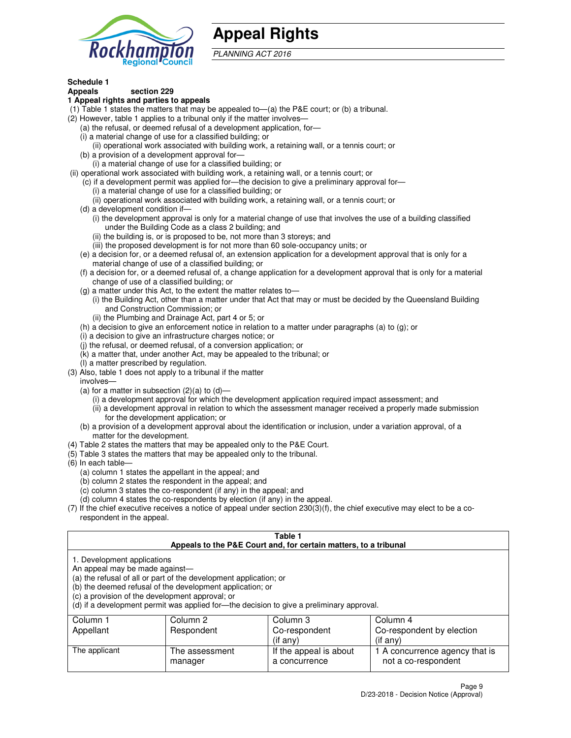

# **Appeal Rights**

PLANNING ACT 2016

# **Schedule 1**

# **Appeals section 229**

#### **1 Appeal rights and parties to appeals**

- (1) Table 1 states the matters that may be appealed to—(a) the P&E court; or (b) a tribunal.
- (2) However, table 1 applies to a tribunal only if the matter involves—
	- (a) the refusal, or deemed refusal of a development application, for—
	- (i) a material change of use for a classified building; or
	- (ii) operational work associated with building work, a retaining wall, or a tennis court; or
	- (b) a provision of a development approval for—
	- (i) a material change of use for a classified building; or
- (ii) operational work associated with building work, a retaining wall, or a tennis court; or
	- (c) if a development permit was applied for—the decision to give a preliminary approval for—
		- (i) a material change of use for a classified building; or
		- (ii) operational work associated with building work, a retaining wall, or a tennis court; or
	- (d) a development condition if—
		- (i) the development approval is only for a material change of use that involves the use of a building classified under the Building Code as a class 2 building; and
		- (ii) the building is, or is proposed to be, not more than 3 storeys; and
		- (iii) the proposed development is for not more than 60 sole-occupancy units; or
	- (e) a decision for, or a deemed refusal of, an extension application for a development approval that is only for a material change of use of a classified building; or
	- (f) a decision for, or a deemed refusal of, a change application for a development approval that is only for a material change of use of a classified building; or
	- (g) a matter under this Act, to the extent the matter relates to—
		- (i) the Building Act, other than a matter under that Act that may or must be decided by the Queensland Building and Construction Commission; or
		- (ii) the Plumbing and Drainage Act, part 4 or 5; or
	- (h) a decision to give an enforcement notice in relation to a matter under paragraphs (a) to (g); or
	- (i) a decision to give an infrastructure charges notice; or
	- (j) the refusal, or deemed refusal, of a conversion application; or
	- (k) a matter that, under another Act, may be appealed to the tribunal; or
	- (l) a matter prescribed by regulation.
- (3) Also, table 1 does not apply to a tribunal if the matter
	- involves—
	- (a) for a matter in subsection  $(2)(a)$  to  $(d)$ 
		- (i) a development approval for which the development application required impact assessment; and
		- (ii) a development approval in relation to which the assessment manager received a properly made submission for the development application; or
	- (b) a provision of a development approval about the identification or inclusion, under a variation approval, of a matter for the development.
- (4) Table 2 states the matters that may be appealed only to the P&E Court.
- (5) Table 3 states the matters that may be appealed only to the tribunal.
- (6) In each table—
	- (a) column 1 states the appellant in the appeal; and
	- (b) column 2 states the respondent in the appeal; and
	- (c) column 3 states the co-respondent (if any) in the appeal; and
	- (d) column 4 states the co-respondents by election (if any) in the appeal.
- $(7)$  If the chief executive receives a notice of appeal under section  $230(3)(f)$ , the chief executive may elect to be a corespondent in the appeal.

| Table 1<br>Appeals to the P&E Court and, for certain matters, to a tribunal                                                                                                                                                                                                                                                                    |                           |                                         |                                                       |  |
|------------------------------------------------------------------------------------------------------------------------------------------------------------------------------------------------------------------------------------------------------------------------------------------------------------------------------------------------|---------------------------|-----------------------------------------|-------------------------------------------------------|--|
| 1. Development applications<br>An appeal may be made against-<br>(a) the refusal of all or part of the development application; or<br>(b) the deemed refusal of the development application; or<br>(c) a provision of the development approval; or<br>(d) if a development permit was applied for—the decision to give a preliminary approval. |                           |                                         |                                                       |  |
| Column 1                                                                                                                                                                                                                                                                                                                                       | Column 2                  | Column 3                                | Column 4                                              |  |
| Appellant                                                                                                                                                                                                                                                                                                                                      | Respondent                | Co-respondent                           | Co-respondent by election                             |  |
| (if any)<br>$($ if any $)$                                                                                                                                                                                                                                                                                                                     |                           |                                         |                                                       |  |
| The applicant                                                                                                                                                                                                                                                                                                                                  | The assessment<br>manager | If the appeal is about<br>a concurrence | 1 A concurrence agency that is<br>not a co-respondent |  |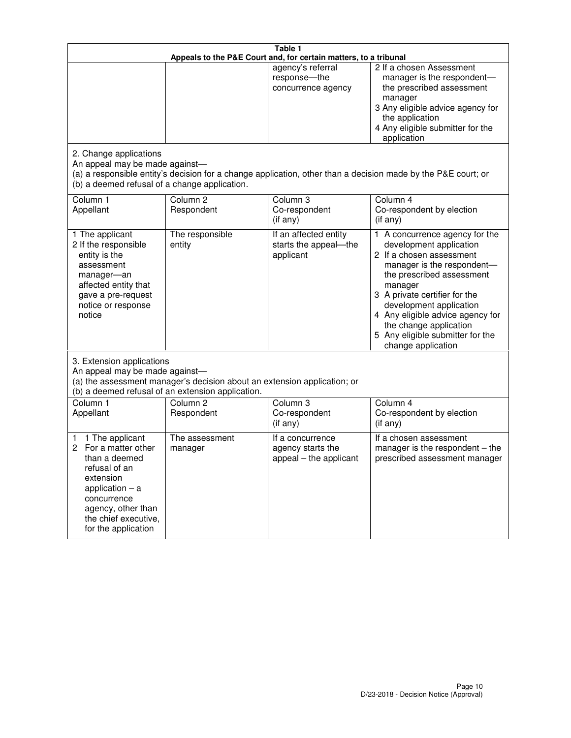| Table 1<br>Appeals to the P&E Court and, for certain matters, to a tribunal                                                                                                                             |                                                                                                                               |                                                                 |                                                                                                                                                                                                                                                                                                                                                 |  |
|---------------------------------------------------------------------------------------------------------------------------------------------------------------------------------------------------------|-------------------------------------------------------------------------------------------------------------------------------|-----------------------------------------------------------------|-------------------------------------------------------------------------------------------------------------------------------------------------------------------------------------------------------------------------------------------------------------------------------------------------------------------------------------------------|--|
|                                                                                                                                                                                                         |                                                                                                                               | agency's referral<br>response-the<br>concurrence agency         | 2 If a chosen Assessment<br>manager is the respondent-<br>the prescribed assessment<br>manager<br>3 Any eligible advice agency for<br>the application<br>4 Any eligible submitter for the<br>application                                                                                                                                        |  |
| 2. Change applications<br>An appeal may be made against-<br>(b) a deemed refusal of a change application.                                                                                               |                                                                                                                               |                                                                 | (a) a responsible entity's decision for a change application, other than a decision made by the P&E court; or                                                                                                                                                                                                                                   |  |
| Column 1<br>Appellant                                                                                                                                                                                   | Column <sub>2</sub><br>Respondent                                                                                             | Column <sub>3</sub><br>Co-respondent<br>(if any)                | Column 4<br>Co-respondent by election<br>(if any)                                                                                                                                                                                                                                                                                               |  |
| 1 The applicant<br>2 If the responsible<br>entity is the<br>assessment<br>manager-an<br>affected entity that<br>gave a pre-request<br>notice or response<br>notice                                      | The responsible<br>entity                                                                                                     | If an affected entity<br>starts the appeal-the<br>applicant     | 1 A concurrence agency for the<br>development application<br>2 If a chosen assessment<br>manager is the respondent-<br>the prescribed assessment<br>manager<br>3 A private certifier for the<br>development application<br>4 Any eligible advice agency for<br>the change application<br>5 Any eligible submitter for the<br>change application |  |
| 3. Extension applications<br>An appeal may be made against-                                                                                                                                             | (a) the assessment manager's decision about an extension application; or<br>(b) a deemed refusal of an extension application. |                                                                 |                                                                                                                                                                                                                                                                                                                                                 |  |
| Column 1<br>Appellant                                                                                                                                                                                   | Column <sub>2</sub><br>Respondent                                                                                             | Column <sub>3</sub><br>Co-respondent<br>(if any)                | Column 4<br>Co-respondent by election<br>(if any)                                                                                                                                                                                                                                                                                               |  |
| 1 The applicant<br>1<br>For a matter other<br>2<br>than a deemed<br>refusal of an<br>extension<br>application $-$ a<br>concurrence<br>agency, other than<br>the chief executive,<br>for the application | The assessment<br>manager                                                                                                     | If a concurrence<br>agency starts the<br>appeal - the applicant | If a chosen assessment<br>manager is the respondent $-$ the<br>prescribed assessment manager                                                                                                                                                                                                                                                    |  |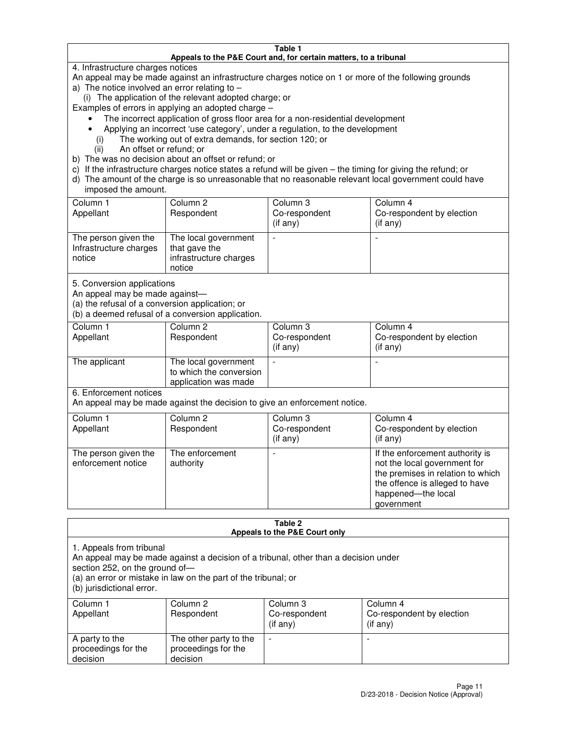#### **Table 1 Appeals to the P&E Court and, for certain matters, to a tribunal**

4. Infrastructure charges notices

An appeal may be made against an infrastructure charges notice on 1 or more of the following grounds

- a) The notice involved an error relating to
	- (i) The application of the relevant adopted charge; or
- Examples of errors in applying an adopted charge
	- The incorrect application of gross floor area for a non-residential development
	- Applying an incorrect 'use category', under a regulation, to the development
		- (i) The working out of extra demands, for section 120; or
		- (ii) An offset or refund; or
- b) The was no decision about an offset or refund; or
- c) If the infrastructure charges notice states a refund will be given the timing for giving the refund; or
- d) The amount of the charge is so unreasonable that no reasonable relevant local government could have imposed the amount.

| Column 1<br>Appellant                                    | Column 2<br>Respondent                                                    | Column 3<br>Co-respondent<br>$($ if any $)$ | Column 4<br>Co-respondent by election<br>$($ if any $)$ |
|----------------------------------------------------------|---------------------------------------------------------------------------|---------------------------------------------|---------------------------------------------------------|
| The person given the<br>Infrastructure charges<br>notice | The local government<br>that gave the<br>infrastructure charges<br>notice |                                             |                                                         |

5. Conversion applications

An appeal may be made against—

(a) the refusal of a conversion application; or

(b) a deemed refusal of a conversion application.

| Column 1<br>Appellant | Column 2<br>Respondent                                                  | Column 3<br>Co-respondent<br>$($ if any $)$ | Column 4<br>Co-respondent by election<br>$($ if any $)$ |
|-----------------------|-------------------------------------------------------------------------|---------------------------------------------|---------------------------------------------------------|
| The applicant         | The local government<br>to which the conversion<br>application was made |                                             |                                                         |

6. Enforcement notices

An appeal may be made against the decision to give an enforcement notice.

| Column 1<br>Appellant                      | Column 2<br>Respondent       | Column 3<br>Co-respondent<br>$($ if any $)$ | Column 4<br>Co-respondent by election<br>(if any)                                                                                                                          |
|--------------------------------------------|------------------------------|---------------------------------------------|----------------------------------------------------------------------------------------------------------------------------------------------------------------------------|
| The person given the<br>enforcement notice | The enforcement<br>authority |                                             | If the enforcement authority is<br>not the local government for<br>the premises in relation to which<br>the offence is alleged to have<br>happened-the local<br>government |

#### **Table 2 Appeals to the P&E Court only**

1. Appeals from tribunal

An appeal may be made against a decision of a tribunal, other than a decision under

section 252, on the ground of—

(a) an error or mistake in law on the part of the tribunal; or

(b) jurisdictional error.

| Column 1<br>Appellant                             | Column 2<br>Respondent                                    | Column 3<br>Co-respondent<br>$($ if any $)$ | Column 4<br>Co-respondent by election<br>$($ if any $)$ |
|---------------------------------------------------|-----------------------------------------------------------|---------------------------------------------|---------------------------------------------------------|
| A party to the<br>proceedings for the<br>decision | The other party to the<br>proceedings for the<br>decision | -                                           |                                                         |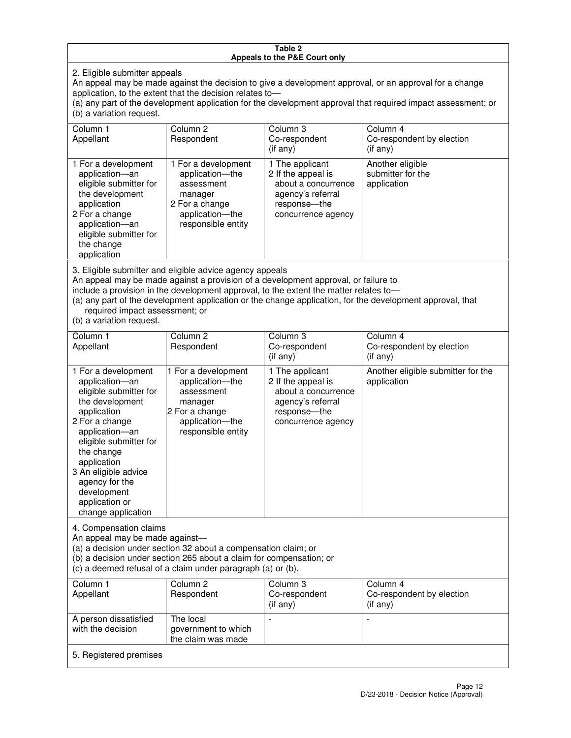#### **Table 2 Appeals to the P&E Court only**

2. Eligible submitter appeals

An appeal may be made against the decision to give a development approval, or an approval for a change application, to the extent that the decision relates to—

(a) any part of the development application for the development approval that required impact assessment; or (b) a variation request.

| Column 1<br>Appellant                                                                                                                                                                                                                                                                                                                                                                                              | Column 2<br>Respondent                                                                                                     | Column 3<br>Co-respondent<br>$($ if any $)$                                                                               | Column 4<br>Co-respondent by election<br>(i f any)   |
|--------------------------------------------------------------------------------------------------------------------------------------------------------------------------------------------------------------------------------------------------------------------------------------------------------------------------------------------------------------------------------------------------------------------|----------------------------------------------------------------------------------------------------------------------------|---------------------------------------------------------------------------------------------------------------------------|------------------------------------------------------|
| 1 For a development<br>application-an<br>eligible submitter for<br>the development<br>application<br>2 For a change<br>application-an<br>eligible submitter for<br>the change<br>application                                                                                                                                                                                                                       | 1 For a development<br>application-the<br>assessment<br>manager<br>2 For a change<br>application-the<br>responsible entity | 1 The applicant<br>2 If the appeal is<br>about a concurrence<br>agency's referral<br>response---the<br>concurrence agency | Another eligible<br>submitter for the<br>application |
| 3. Eligible submitter and eligible advice agency appeals<br>An appeal may be made against a provision of a development approval, or failure to<br>include a provision in the development approval, to the extent the matter relates to-<br>(a) any part of the development application or the change application, for the development approval, that<br>required impact assessment; or<br>(b) a variation request. |                                                                                                                            |                                                                                                                           |                                                      |
| Column <sub>1</sub>                                                                                                                                                                                                                                                                                                                                                                                                | Column <sub>2</sub>                                                                                                        | Column 3                                                                                                                  | Column 4                                             |
| Appellant                                                                                                                                                                                                                                                                                                                                                                                                          | Respondent                                                                                                                 | Co-respondent<br>(if any)                                                                                                 | Co-respondent by election<br>(i f any)               |
| 1 For a development<br>application-an<br>eligible submitter for<br>the development<br>application                                                                                                                                                                                                                                                                                                                  | 1 For a development<br>application-the<br>assessment<br>manager<br>2 For a change                                          | 1 The applicant<br>2 If the appeal is<br>about a concurrence<br>agency's referral<br>response---the                       | Another eligible submitter for the<br>application    |

concurrence agency

4. Compensation claims

2 For a change application—an eligible submitter for

the change application 3 An eligible advice agency for the development application or change application

An appeal may be made against—

(a) a decision under section 32 about a compensation claim; or

(b) a decision under section 265 about a claim for compensation; or

application—the responsible entity

(c) a deemed refusal of a claim under paragraph (a) or (b).

| Column 1<br>Appellant                      | Column 2<br>Respondent                                 | Column 3<br>Co-respondent<br>$($ if any $)$ | Column 4<br>Co-respondent by election<br>(if any) |
|--------------------------------------------|--------------------------------------------------------|---------------------------------------------|---------------------------------------------------|
| A person dissatisfied<br>with the decision | The local<br>government to which<br>the claim was made |                                             |                                                   |
| 5. Registered premises                     |                                                        |                                             |                                                   |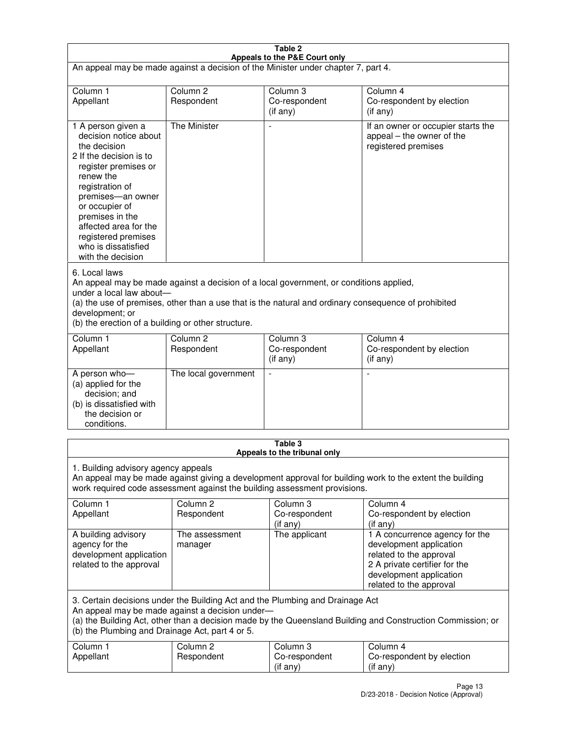| Table 2                                                                                                                                                                                                                                                                                                              |                                   |                                         |                                                                                                                                                                             |  |
|----------------------------------------------------------------------------------------------------------------------------------------------------------------------------------------------------------------------------------------------------------------------------------------------------------------------|-----------------------------------|-----------------------------------------|-----------------------------------------------------------------------------------------------------------------------------------------------------------------------------|--|
| Appeals to the P&E Court only<br>An appeal may be made against a decision of the Minister under chapter 7, part 4.                                                                                                                                                                                                   |                                   |                                         |                                                                                                                                                                             |  |
| Column 1                                                                                                                                                                                                                                                                                                             | Column <sub>2</sub>               | Column <sub>3</sub>                     | Column 4                                                                                                                                                                    |  |
| Appellant                                                                                                                                                                                                                                                                                                            | Respondent                        | Co-respondent<br>$($ if any $)$         | Co-respondent by election<br>(if any)                                                                                                                                       |  |
| 1 A person given a<br>decision notice about<br>the decision<br>2 If the decision is to<br>register premises or<br>renew the<br>registration of<br>premises-an owner<br>or occupier of<br>premises in the<br>affected area for the<br>registered premises<br>who is dissatisfied<br>with the decision                 | <b>The Minister</b>               | ÷,                                      | If an owner or occupier starts the<br>appeal – the owner of the<br>registered premises                                                                                      |  |
| 6. Local laws<br>An appeal may be made against a decision of a local government, or conditions applied,<br>under a local law about-<br>(a) the use of premises, other than a use that is the natural and ordinary consequence of prohibited<br>development; or<br>(b) the erection of a building or other structure. |                                   |                                         |                                                                                                                                                                             |  |
| Column 1<br>Appellant                                                                                                                                                                                                                                                                                                | Column 2<br>Respondent            | Column 3<br>Co-respondent<br>(if any)   | Column 4<br>Co-respondent by election<br>(if any)                                                                                                                           |  |
| A person who-<br>(a) applied for the<br>decision; and<br>(b) is dissatisfied with<br>the decision or<br>conditions.                                                                                                                                                                                                  | The local government              |                                         |                                                                                                                                                                             |  |
|                                                                                                                                                                                                                                                                                                                      |                                   | Table 3<br>Appeals to the tribunal only |                                                                                                                                                                             |  |
| 1. Building advisory agency appeals<br>An appeal may be made against giving a development approval for building work to the extent the building<br>work required code assessment against the building assessment provisions.                                                                                         |                                   |                                         |                                                                                                                                                                             |  |
| Column 1<br>Appellant                                                                                                                                                                                                                                                                                                | Column <sub>2</sub><br>Respondent | Column 3<br>Co-respondent<br>(if any)   | Column 4<br>Co-respondent by election<br>(if any)                                                                                                                           |  |
| A building advisory<br>agency for the<br>development application<br>related to the approval                                                                                                                                                                                                                          | The assessment<br>manager         | The applicant                           | 1 A concurrence agency for the<br>development application<br>related to the approval<br>2 A private certifier for the<br>development application<br>related to the approval |  |
| 3. Certain decisions under the Building Act and the Plumbing and Drainage Act<br>An appeal may be made against a decision under-<br>(a) the Building Act, other than a decision made by the Queensland Building and Construction Commission; or<br>(b) the Plumbing and Drainage Act, part 4 or 5.                   |                                   |                                         |                                                                                                                                                                             |  |
| Column 1<br>Appellant                                                                                                                                                                                                                                                                                                | Column <sub>2</sub><br>Respondent | Column 3<br>Co-respondent<br>(if any)   | Column 4<br>Co-respondent by election<br>(if any)                                                                                                                           |  |